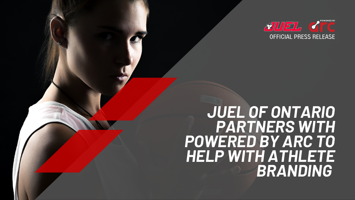## *JUEL OF ONTARIO PARTNERS WITH POWERED BY ARC TO HELP WITH ATHLETE BRANDING*